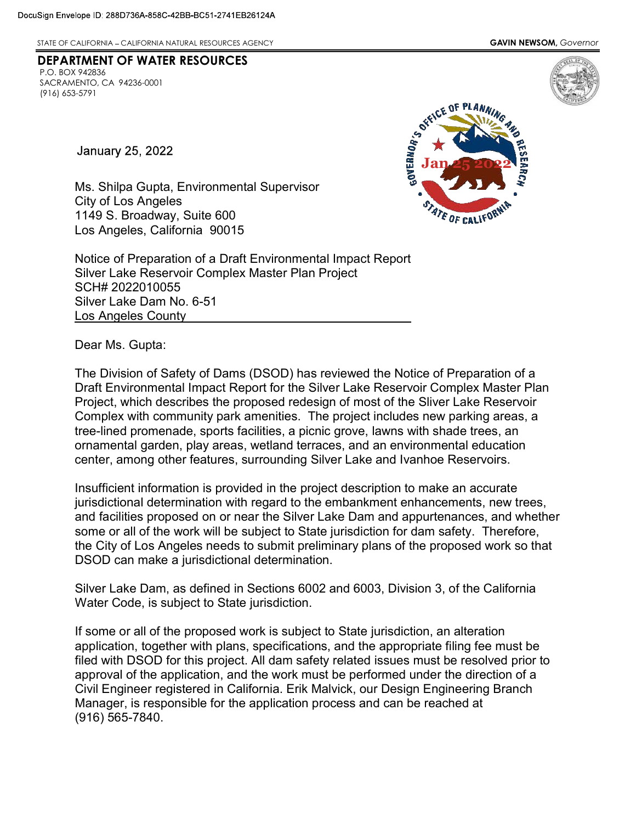DEPARTMENT OF WATER RESOURCES

STATE OF CALIFORNIA – CALIFORNIA NATURAL RESOURCES AGENCY **GAVIN NEWSOM, GOVERNOT GAVIN NEWSOM, GOVERNOT** 

**January 25, 2022** 

SACRAMENTO, CA 94236-0001

P.O. BOX 942836

(916) 653-5791



 Ms. Shilpa Gupta, Environmental Supervisor City of Los Angeles 1149 S. Broadway, Suite 600 Los Angeles, California 90015

 Notice of Preparation of a Draft Environmental Impact Report Silver Lake Reservoir Complex Master Plan Project Silver Lake Dam No. 6-51 SCH# 2022010055 Los Angeles County

Dear Ms. Gupta:

 The Division of Safety of Dams (DSOD) has reviewed the Notice of Preparation of a Draft Environmental Impact Report for the Silver Lake Reservoir Complex Master Plan Project, which describes the proposed redesign of most of the Sliver Lake Reservoir Complex with community park amenities. The project includes new parking areas, a tree-lined promenade, sports facilities, a picnic grove, lawns with shade trees, an ornamental garden, play areas, wetland terraces, and an environmental education center, among other features, surrounding Silver Lake and Ivanhoe Reservoirs.

 Insufficient information is provided in the project description to make an accurate jurisdictional determination with regard to the embankment enhancements, new trees, and facilities proposed on or near the Silver Lake Dam and appurtenances, and whether some or all of the work will be subject to State jurisdiction for dam safety. Therefore, the City of Los Angeles needs to submit preliminary plans of the proposed work so that DSOD can make a jurisdictional determination.

 Silver Lake Dam, as defined in Sections 6002 and 6003, Division 3, of the California Water Code, is subject to State jurisdiction.

 If some or all of the proposed work is subject to State jurisdiction, an alteration application, together with plans, specifications, and the appropriate filing fee must be filed with DSOD for this project. All dam safety related issues must be resolved prior to approval of the application, and the work must be performed under the direction of a Civil Engineer registered in California. Erik Malvick, our Design Engineering Branch Manager, is responsible for the application process and can be reached at (916) 565-7840.